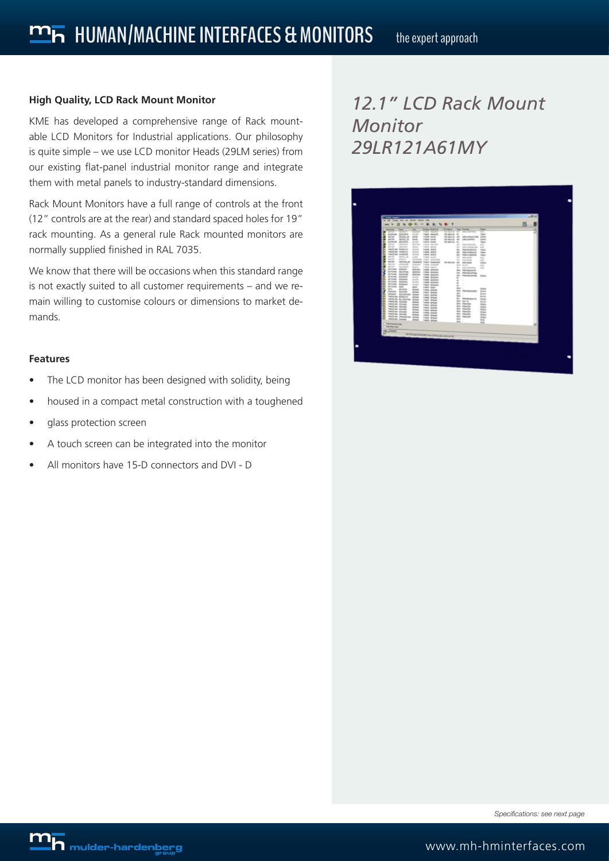### **High Quality, LCD Rack Mount Monitor**

KME has developed a comprehensive range of Rack mountable LCD Monitors for Industrial applications. Our philosophy is quite simple – we use LCD monitor Heads (29LM series) from our existing flat-panel industrial monitor range and integrate them with metal panels to industry-standard dimensions.

Rack Mount Monitors have a full range of controls at the front (12" controls are at the rear) and standard spaced holes for 19" rack mounting. As a general rule Rack mounted monitors are normally supplied finished in RAL 7035.

We know that there will be occasions when this standard range is not exactly suited to all customer requirements – and we remain willing to customise colours or dimensions to market demands.

### **Features**

- The LCD monitor has been designed with solidity, being
- housed in a compact metal construction with a toughened
- glass protection screen
- • A touch screen can be integrated into the monitor
- All monitors have 15-D connectors and DVI D

## *12.1" LCD Rack Mount Monitor 29LR121A61MY*

| B<br><b>WARREN</b><br><b>San Purchas</b><br><b>Notes Region</b><br><b>Sides</b><br><b>Liver</b><br><b>Sales</b><br>w<br>. .<br>$-1111$<br>-<br>÷<br><b>GUINAL</b><br>GOVANY<br><b>GLAKE</b><br>THIN' ABAND<br><b>TREMADA RI</b><br>tate<br>152,544,535 847<br><b>SSAN</b><br><b>DELITER</b> AR<br><b>SAVE</b><br>OUT-VEHICLES<br>GRATIST.<br>TIGHT SAVE<br>sports, as<br>Gentlee<br><b>CARL EXCITATION</b><br><b>Section</b><br><b>TORIAL SAVING</b><br>150 984 0.00 807<br><b>SON</b><br>GUIAAN<br>graciones<br><b>GLASS</b><br><b>ENTER GAME</b><br><b>VALUABLE RX</b><br><b>Fancy</b><br>partes<br><b>SERVICE</b><br>HECTOR<br><b>FAIRS HECKIN</b><br>$\sim$<br>telepolitical costs.<br>m<br>MAAR<br><b>SAFER</b><br><b>Allege</b><br>THREE JEWEL<br><b>ALC</b><br>seni fasciture.<br><b>SHEET</b><br><b>TAKELAH, PENDUTE</b><br>m.<br>ornat.<br>THING ATM 5<br>40<br><b>POMPOISIVIE</b><br><b>Take</b><br>TANZANI, VANDUSI<br><b>SPONE</b><br>THEN JOINS<br>80<br><b>POMPERDIANE</b><br><b>Take</b><br>TAKELAK INNOTE<br><b>SPOUND</b><br><b>THER AND</b><br>80<br><b>POMIA NOTE</b><br>Total<br>gards.<br><b>DESPECTA</b><br>Anima<br><b>FREED JUNE</b><br><b>SAT</b><br>MICHAELS:<br><b>SAC</b><br>GATES.<br>attract.<br><b>Zooland</b><br><b>Fight Joseph</b><br>$\sim$<br>Millengels<br><b>DO</b><br><b>GATION</b><br><b>MOTAHLAD</b><br><b>Company</b><br>THEFT JOHNNA'S<br>150 SALESE<br>$\sim$<br>Mill results<br>oone<br>GRATICAL<br>UNIVERSITY<br>Literature<br>THIRD UNION.<br>drive theme.<br>in the<br><b>GAYSS</b><br><b>Goulard</b><br><b>SHARE</b><br>TOWN MATCH<br>$\sim$<br>MANCONTROL<br>160<br><b>GETSURE</b><br>×.<br><b>GENERAL</b><br>govern-<br><b>TSEE GORDAY</b><br><b>BOX POMBILISTAR</b><br><b>Birthuffa</b><br><b><i>USCALEA</i></b><br>GOASAV<br><b><i>VIRED SEVERAL</i></b><br>AU POWERANAL<br>Girlisma<br><b>MARKET</b><br><b>GORGEN</b><br><b>THIN GONDA</b><br>AU PONGGAPUM<br><b>DEBW</b><br><b>GOVEWAK</b><br>Grünnist<br>SUSER.<br><b>TRIAL GOVERN</b><br>$\sim$<br>n.<br><b>UTITARE</b><br>Globala<br><b>BARR</b><br>TIBIA GLASS<br>$\sim$<br>- 2<br><b>GETSURE</b><br><b>Underhule</b><br>Gundale<br>17838 (Diffully)<br>$\sim$<br>×<br>Glimbulle<br><b>Indowed</b><br><b>Guidal</b><br><b>TRIZ GRASH</b><br>$\sim$<br>$\sim$<br>×<br>Gli Guila<br><b>Gentler</b><br><b>Geogle</b><br><b><i>Inter sent</i></b><br>Artes 14<br><b>Million</b><br>×<br>60%<br><b>All-Assis</b><br><b>OTHER</b><br><b><i><u>Triate</u></i></b> (artist)<br>BOX PRANDEDUCATION<br><b>British</b><br><b><i>USERAIN</i></b><br>Govern<br><b>SPOAK</b><br><b>FROM GROUN</b><br>and 1<br><b>British</b><br>GUERLER<br><b>ELIMINAK</b><br><b>UTGAR</b><br>THER GROUP<br>tion .<br><b>DOM</b><br><b>Testima songuro</b><br><b>SPOWER</b><br>THRD GROUP<br><b>AD PRAISING/</b><br>TWOLNS BE MINING<br><b>DEBU</b><br><b>OFFICE</b><br><b>TRATE GROWN</b><br><b>BOX Burner</b><br>×<br><b><i><u>TANERAM, GENERAL</u></i></b><br><b>SCALE</b><br><b>OVIM</b><br><b>FIRM SPOAR</b><br><b>BOX Primoring</b><br><b>TAKELAK, GENERAL</b><br><b>DEDU</b><br><b>GPLAA</b><br>Frence Groups<br><b>BOX POWER</b><br>TANIELER, GENOM<br><b>DEGA/</b><br><b>Urban</b><br><b>THIS SPEAK</b><br><b>BOX POINTER</b><br><b>TANGLAH GENERA</b><br>$000\omega$<br><b>Office</b><br>Trailin Group<br>ĸ<br><b>NATELAN GENERA</b><br><b>BOX POWER</b><br>000 <sup>1</sup><br><b>Offices</b><br><b>TIRK Group</b><br>ĸ<br><b><i>NATEJAK, GAVAN</i></b><br><b>BOX PENNISH</b><br>0.004<br><b>OFCHA</b><br><b>THIS ORDAN</b><br><b>TAKELAK DRAGATUR OFGAN</b><br><b>BOX POINCER</b><br><b>DEDW</b><br>THREE GROWN<br>TANKLIN, DIENOL<br><b>BOX -1</b><br><b>SPOAK</b><br><b>Bush</b><br><b>TRIAN GROUND</b><br>six.<br><b>B</b> <sub>R</sub><br><b>SAVANNA</b> | <b>Distribute June</b><br>in Died | <b>Section</b> | <b>Allen Sept</b><br>۰<br><b>No</b> | the full charge then call retailer clatters rink<br>٠ | 中断<br>÷ | ٠ | <b>D. %</b> | ٠ |  |  | AMER. |
|-------------------------------------------------------------------------------------------------------------------------------------------------------------------------------------------------------------------------------------------------------------------------------------------------------------------------------------------------------------------------------------------------------------------------------------------------------------------------------------------------------------------------------------------------------------------------------------------------------------------------------------------------------------------------------------------------------------------------------------------------------------------------------------------------------------------------------------------------------------------------------------------------------------------------------------------------------------------------------------------------------------------------------------------------------------------------------------------------------------------------------------------------------------------------------------------------------------------------------------------------------------------------------------------------------------------------------------------------------------------------------------------------------------------------------------------------------------------------------------------------------------------------------------------------------------------------------------------------------------------------------------------------------------------------------------------------------------------------------------------------------------------------------------------------------------------------------------------------------------------------------------------------------------------------------------------------------------------------------------------------------------------------------------------------------------------------------------------------------------------------------------------------------------------------------------------------------------------------------------------------------------------------------------------------------------------------------------------------------------------------------------------------------------------------------------------------------------------------------------------------------------------------------------------------------------------------------------------------------------------------------------------------------------------------------------------------------------------------------------------------------------------------------------------------------------------------------------------------------------------------------------------------------------------------------------------------------------------------------------------------------------------------------------------------------------------------------------------------------------------------------------------------------------------------------------------------------------------------------------------------------------------------------------------------------------------------------------------------------------------------------------------------------------------------------------------------------------------------------------------------------------------------------------------------------------------------------------------------------------------------------------------------------------------------------------------------------------------------------------------------------|-----------------------------------|----------------|-------------------------------------|-------------------------------------------------------|---------|---|-------------|---|--|--|-------|
|                                                                                                                                                                                                                                                                                                                                                                                                                                                                                                                                                                                                                                                                                                                                                                                                                                                                                                                                                                                                                                                                                                                                                                                                                                                                                                                                                                                                                                                                                                                                                                                                                                                                                                                                                                                                                                                                                                                                                                                                                                                                                                                                                                                                                                                                                                                                                                                                                                                                                                                                                                                                                                                                                                                                                                                                                                                                                                                                                                                                                                                                                                                                                                                                                                                                                                                                                                                                                                                                                                                                                                                                                                                                                                                                                       |                                   |                |                                     |                                                       |         |   |             |   |  |  |       |
|                                                                                                                                                                                                                                                                                                                                                                                                                                                                                                                                                                                                                                                                                                                                                                                                                                                                                                                                                                                                                                                                                                                                                                                                                                                                                                                                                                                                                                                                                                                                                                                                                                                                                                                                                                                                                                                                                                                                                                                                                                                                                                                                                                                                                                                                                                                                                                                                                                                                                                                                                                                                                                                                                                                                                                                                                                                                                                                                                                                                                                                                                                                                                                                                                                                                                                                                                                                                                                                                                                                                                                                                                                                                                                                                                       |                                   |                |                                     |                                                       |         |   |             |   |  |  |       |
|                                                                                                                                                                                                                                                                                                                                                                                                                                                                                                                                                                                                                                                                                                                                                                                                                                                                                                                                                                                                                                                                                                                                                                                                                                                                                                                                                                                                                                                                                                                                                                                                                                                                                                                                                                                                                                                                                                                                                                                                                                                                                                                                                                                                                                                                                                                                                                                                                                                                                                                                                                                                                                                                                                                                                                                                                                                                                                                                                                                                                                                                                                                                                                                                                                                                                                                                                                                                                                                                                                                                                                                                                                                                                                                                                       |                                   |                |                                     |                                                       |         |   |             |   |  |  |       |
|                                                                                                                                                                                                                                                                                                                                                                                                                                                                                                                                                                                                                                                                                                                                                                                                                                                                                                                                                                                                                                                                                                                                                                                                                                                                                                                                                                                                                                                                                                                                                                                                                                                                                                                                                                                                                                                                                                                                                                                                                                                                                                                                                                                                                                                                                                                                                                                                                                                                                                                                                                                                                                                                                                                                                                                                                                                                                                                                                                                                                                                                                                                                                                                                                                                                                                                                                                                                                                                                                                                                                                                                                                                                                                                                                       |                                   |                |                                     |                                                       |         |   |             |   |  |  |       |
|                                                                                                                                                                                                                                                                                                                                                                                                                                                                                                                                                                                                                                                                                                                                                                                                                                                                                                                                                                                                                                                                                                                                                                                                                                                                                                                                                                                                                                                                                                                                                                                                                                                                                                                                                                                                                                                                                                                                                                                                                                                                                                                                                                                                                                                                                                                                                                                                                                                                                                                                                                                                                                                                                                                                                                                                                                                                                                                                                                                                                                                                                                                                                                                                                                                                                                                                                                                                                                                                                                                                                                                                                                                                                                                                                       |                                   |                |                                     |                                                       |         |   |             |   |  |  |       |
|                                                                                                                                                                                                                                                                                                                                                                                                                                                                                                                                                                                                                                                                                                                                                                                                                                                                                                                                                                                                                                                                                                                                                                                                                                                                                                                                                                                                                                                                                                                                                                                                                                                                                                                                                                                                                                                                                                                                                                                                                                                                                                                                                                                                                                                                                                                                                                                                                                                                                                                                                                                                                                                                                                                                                                                                                                                                                                                                                                                                                                                                                                                                                                                                                                                                                                                                                                                                                                                                                                                                                                                                                                                                                                                                                       |                                   |                |                                     |                                                       |         |   |             |   |  |  |       |
|                                                                                                                                                                                                                                                                                                                                                                                                                                                                                                                                                                                                                                                                                                                                                                                                                                                                                                                                                                                                                                                                                                                                                                                                                                                                                                                                                                                                                                                                                                                                                                                                                                                                                                                                                                                                                                                                                                                                                                                                                                                                                                                                                                                                                                                                                                                                                                                                                                                                                                                                                                                                                                                                                                                                                                                                                                                                                                                                                                                                                                                                                                                                                                                                                                                                                                                                                                                                                                                                                                                                                                                                                                                                                                                                                       |                                   |                |                                     |                                                       |         |   |             |   |  |  |       |
|                                                                                                                                                                                                                                                                                                                                                                                                                                                                                                                                                                                                                                                                                                                                                                                                                                                                                                                                                                                                                                                                                                                                                                                                                                                                                                                                                                                                                                                                                                                                                                                                                                                                                                                                                                                                                                                                                                                                                                                                                                                                                                                                                                                                                                                                                                                                                                                                                                                                                                                                                                                                                                                                                                                                                                                                                                                                                                                                                                                                                                                                                                                                                                                                                                                                                                                                                                                                                                                                                                                                                                                                                                                                                                                                                       |                                   |                |                                     |                                                       |         |   |             |   |  |  |       |
|                                                                                                                                                                                                                                                                                                                                                                                                                                                                                                                                                                                                                                                                                                                                                                                                                                                                                                                                                                                                                                                                                                                                                                                                                                                                                                                                                                                                                                                                                                                                                                                                                                                                                                                                                                                                                                                                                                                                                                                                                                                                                                                                                                                                                                                                                                                                                                                                                                                                                                                                                                                                                                                                                                                                                                                                                                                                                                                                                                                                                                                                                                                                                                                                                                                                                                                                                                                                                                                                                                                                                                                                                                                                                                                                                       |                                   |                |                                     |                                                       |         |   |             |   |  |  |       |
|                                                                                                                                                                                                                                                                                                                                                                                                                                                                                                                                                                                                                                                                                                                                                                                                                                                                                                                                                                                                                                                                                                                                                                                                                                                                                                                                                                                                                                                                                                                                                                                                                                                                                                                                                                                                                                                                                                                                                                                                                                                                                                                                                                                                                                                                                                                                                                                                                                                                                                                                                                                                                                                                                                                                                                                                                                                                                                                                                                                                                                                                                                                                                                                                                                                                                                                                                                                                                                                                                                                                                                                                                                                                                                                                                       |                                   |                |                                     |                                                       |         |   |             |   |  |  |       |
|                                                                                                                                                                                                                                                                                                                                                                                                                                                                                                                                                                                                                                                                                                                                                                                                                                                                                                                                                                                                                                                                                                                                                                                                                                                                                                                                                                                                                                                                                                                                                                                                                                                                                                                                                                                                                                                                                                                                                                                                                                                                                                                                                                                                                                                                                                                                                                                                                                                                                                                                                                                                                                                                                                                                                                                                                                                                                                                                                                                                                                                                                                                                                                                                                                                                                                                                                                                                                                                                                                                                                                                                                                                                                                                                                       |                                   |                |                                     |                                                       |         |   |             |   |  |  |       |
|                                                                                                                                                                                                                                                                                                                                                                                                                                                                                                                                                                                                                                                                                                                                                                                                                                                                                                                                                                                                                                                                                                                                                                                                                                                                                                                                                                                                                                                                                                                                                                                                                                                                                                                                                                                                                                                                                                                                                                                                                                                                                                                                                                                                                                                                                                                                                                                                                                                                                                                                                                                                                                                                                                                                                                                                                                                                                                                                                                                                                                                                                                                                                                                                                                                                                                                                                                                                                                                                                                                                                                                                                                                                                                                                                       |                                   |                |                                     |                                                       |         |   |             |   |  |  |       |
|                                                                                                                                                                                                                                                                                                                                                                                                                                                                                                                                                                                                                                                                                                                                                                                                                                                                                                                                                                                                                                                                                                                                                                                                                                                                                                                                                                                                                                                                                                                                                                                                                                                                                                                                                                                                                                                                                                                                                                                                                                                                                                                                                                                                                                                                                                                                                                                                                                                                                                                                                                                                                                                                                                                                                                                                                                                                                                                                                                                                                                                                                                                                                                                                                                                                                                                                                                                                                                                                                                                                                                                                                                                                                                                                                       |                                   |                |                                     |                                                       |         |   |             |   |  |  |       |
|                                                                                                                                                                                                                                                                                                                                                                                                                                                                                                                                                                                                                                                                                                                                                                                                                                                                                                                                                                                                                                                                                                                                                                                                                                                                                                                                                                                                                                                                                                                                                                                                                                                                                                                                                                                                                                                                                                                                                                                                                                                                                                                                                                                                                                                                                                                                                                                                                                                                                                                                                                                                                                                                                                                                                                                                                                                                                                                                                                                                                                                                                                                                                                                                                                                                                                                                                                                                                                                                                                                                                                                                                                                                                                                                                       |                                   |                |                                     |                                                       |         |   |             |   |  |  |       |
|                                                                                                                                                                                                                                                                                                                                                                                                                                                                                                                                                                                                                                                                                                                                                                                                                                                                                                                                                                                                                                                                                                                                                                                                                                                                                                                                                                                                                                                                                                                                                                                                                                                                                                                                                                                                                                                                                                                                                                                                                                                                                                                                                                                                                                                                                                                                                                                                                                                                                                                                                                                                                                                                                                                                                                                                                                                                                                                                                                                                                                                                                                                                                                                                                                                                                                                                                                                                                                                                                                                                                                                                                                                                                                                                                       |                                   |                |                                     |                                                       |         |   |             |   |  |  |       |
|                                                                                                                                                                                                                                                                                                                                                                                                                                                                                                                                                                                                                                                                                                                                                                                                                                                                                                                                                                                                                                                                                                                                                                                                                                                                                                                                                                                                                                                                                                                                                                                                                                                                                                                                                                                                                                                                                                                                                                                                                                                                                                                                                                                                                                                                                                                                                                                                                                                                                                                                                                                                                                                                                                                                                                                                                                                                                                                                                                                                                                                                                                                                                                                                                                                                                                                                                                                                                                                                                                                                                                                                                                                                                                                                                       |                                   |                |                                     |                                                       |         |   |             |   |  |  |       |
|                                                                                                                                                                                                                                                                                                                                                                                                                                                                                                                                                                                                                                                                                                                                                                                                                                                                                                                                                                                                                                                                                                                                                                                                                                                                                                                                                                                                                                                                                                                                                                                                                                                                                                                                                                                                                                                                                                                                                                                                                                                                                                                                                                                                                                                                                                                                                                                                                                                                                                                                                                                                                                                                                                                                                                                                                                                                                                                                                                                                                                                                                                                                                                                                                                                                                                                                                                                                                                                                                                                                                                                                                                                                                                                                                       |                                   |                |                                     |                                                       |         |   |             |   |  |  |       |
|                                                                                                                                                                                                                                                                                                                                                                                                                                                                                                                                                                                                                                                                                                                                                                                                                                                                                                                                                                                                                                                                                                                                                                                                                                                                                                                                                                                                                                                                                                                                                                                                                                                                                                                                                                                                                                                                                                                                                                                                                                                                                                                                                                                                                                                                                                                                                                                                                                                                                                                                                                                                                                                                                                                                                                                                                                                                                                                                                                                                                                                                                                                                                                                                                                                                                                                                                                                                                                                                                                                                                                                                                                                                                                                                                       |                                   |                |                                     |                                                       |         |   |             |   |  |  |       |
|                                                                                                                                                                                                                                                                                                                                                                                                                                                                                                                                                                                                                                                                                                                                                                                                                                                                                                                                                                                                                                                                                                                                                                                                                                                                                                                                                                                                                                                                                                                                                                                                                                                                                                                                                                                                                                                                                                                                                                                                                                                                                                                                                                                                                                                                                                                                                                                                                                                                                                                                                                                                                                                                                                                                                                                                                                                                                                                                                                                                                                                                                                                                                                                                                                                                                                                                                                                                                                                                                                                                                                                                                                                                                                                                                       |                                   |                |                                     |                                                       |         |   |             |   |  |  |       |
|                                                                                                                                                                                                                                                                                                                                                                                                                                                                                                                                                                                                                                                                                                                                                                                                                                                                                                                                                                                                                                                                                                                                                                                                                                                                                                                                                                                                                                                                                                                                                                                                                                                                                                                                                                                                                                                                                                                                                                                                                                                                                                                                                                                                                                                                                                                                                                                                                                                                                                                                                                                                                                                                                                                                                                                                                                                                                                                                                                                                                                                                                                                                                                                                                                                                                                                                                                                                                                                                                                                                                                                                                                                                                                                                                       |                                   |                |                                     |                                                       |         |   |             |   |  |  |       |
|                                                                                                                                                                                                                                                                                                                                                                                                                                                                                                                                                                                                                                                                                                                                                                                                                                                                                                                                                                                                                                                                                                                                                                                                                                                                                                                                                                                                                                                                                                                                                                                                                                                                                                                                                                                                                                                                                                                                                                                                                                                                                                                                                                                                                                                                                                                                                                                                                                                                                                                                                                                                                                                                                                                                                                                                                                                                                                                                                                                                                                                                                                                                                                                                                                                                                                                                                                                                                                                                                                                                                                                                                                                                                                                                                       |                                   |                |                                     |                                                       |         |   |             |   |  |  |       |
|                                                                                                                                                                                                                                                                                                                                                                                                                                                                                                                                                                                                                                                                                                                                                                                                                                                                                                                                                                                                                                                                                                                                                                                                                                                                                                                                                                                                                                                                                                                                                                                                                                                                                                                                                                                                                                                                                                                                                                                                                                                                                                                                                                                                                                                                                                                                                                                                                                                                                                                                                                                                                                                                                                                                                                                                                                                                                                                                                                                                                                                                                                                                                                                                                                                                                                                                                                                                                                                                                                                                                                                                                                                                                                                                                       |                                   |                |                                     |                                                       |         |   |             |   |  |  |       |
|                                                                                                                                                                                                                                                                                                                                                                                                                                                                                                                                                                                                                                                                                                                                                                                                                                                                                                                                                                                                                                                                                                                                                                                                                                                                                                                                                                                                                                                                                                                                                                                                                                                                                                                                                                                                                                                                                                                                                                                                                                                                                                                                                                                                                                                                                                                                                                                                                                                                                                                                                                                                                                                                                                                                                                                                                                                                                                                                                                                                                                                                                                                                                                                                                                                                                                                                                                                                                                                                                                                                                                                                                                                                                                                                                       |                                   |                |                                     |                                                       |         |   |             |   |  |  |       |
|                                                                                                                                                                                                                                                                                                                                                                                                                                                                                                                                                                                                                                                                                                                                                                                                                                                                                                                                                                                                                                                                                                                                                                                                                                                                                                                                                                                                                                                                                                                                                                                                                                                                                                                                                                                                                                                                                                                                                                                                                                                                                                                                                                                                                                                                                                                                                                                                                                                                                                                                                                                                                                                                                                                                                                                                                                                                                                                                                                                                                                                                                                                                                                                                                                                                                                                                                                                                                                                                                                                                                                                                                                                                                                                                                       |                                   |                |                                     |                                                       |         |   |             |   |  |  |       |
|                                                                                                                                                                                                                                                                                                                                                                                                                                                                                                                                                                                                                                                                                                                                                                                                                                                                                                                                                                                                                                                                                                                                                                                                                                                                                                                                                                                                                                                                                                                                                                                                                                                                                                                                                                                                                                                                                                                                                                                                                                                                                                                                                                                                                                                                                                                                                                                                                                                                                                                                                                                                                                                                                                                                                                                                                                                                                                                                                                                                                                                                                                                                                                                                                                                                                                                                                                                                                                                                                                                                                                                                                                                                                                                                                       |                                   |                |                                     |                                                       |         |   |             |   |  |  |       |
|                                                                                                                                                                                                                                                                                                                                                                                                                                                                                                                                                                                                                                                                                                                                                                                                                                                                                                                                                                                                                                                                                                                                                                                                                                                                                                                                                                                                                                                                                                                                                                                                                                                                                                                                                                                                                                                                                                                                                                                                                                                                                                                                                                                                                                                                                                                                                                                                                                                                                                                                                                                                                                                                                                                                                                                                                                                                                                                                                                                                                                                                                                                                                                                                                                                                                                                                                                                                                                                                                                                                                                                                                                                                                                                                                       |                                   |                |                                     |                                                       |         |   |             |   |  |  |       |
|                                                                                                                                                                                                                                                                                                                                                                                                                                                                                                                                                                                                                                                                                                                                                                                                                                                                                                                                                                                                                                                                                                                                                                                                                                                                                                                                                                                                                                                                                                                                                                                                                                                                                                                                                                                                                                                                                                                                                                                                                                                                                                                                                                                                                                                                                                                                                                                                                                                                                                                                                                                                                                                                                                                                                                                                                                                                                                                                                                                                                                                                                                                                                                                                                                                                                                                                                                                                                                                                                                                                                                                                                                                                                                                                                       |                                   |                |                                     |                                                       |         |   |             |   |  |  |       |
|                                                                                                                                                                                                                                                                                                                                                                                                                                                                                                                                                                                                                                                                                                                                                                                                                                                                                                                                                                                                                                                                                                                                                                                                                                                                                                                                                                                                                                                                                                                                                                                                                                                                                                                                                                                                                                                                                                                                                                                                                                                                                                                                                                                                                                                                                                                                                                                                                                                                                                                                                                                                                                                                                                                                                                                                                                                                                                                                                                                                                                                                                                                                                                                                                                                                                                                                                                                                                                                                                                                                                                                                                                                                                                                                                       |                                   |                |                                     |                                                       |         |   |             |   |  |  |       |
|                                                                                                                                                                                                                                                                                                                                                                                                                                                                                                                                                                                                                                                                                                                                                                                                                                                                                                                                                                                                                                                                                                                                                                                                                                                                                                                                                                                                                                                                                                                                                                                                                                                                                                                                                                                                                                                                                                                                                                                                                                                                                                                                                                                                                                                                                                                                                                                                                                                                                                                                                                                                                                                                                                                                                                                                                                                                                                                                                                                                                                                                                                                                                                                                                                                                                                                                                                                                                                                                                                                                                                                                                                                                                                                                                       |                                   |                |                                     |                                                       |         |   |             |   |  |  |       |
|                                                                                                                                                                                                                                                                                                                                                                                                                                                                                                                                                                                                                                                                                                                                                                                                                                                                                                                                                                                                                                                                                                                                                                                                                                                                                                                                                                                                                                                                                                                                                                                                                                                                                                                                                                                                                                                                                                                                                                                                                                                                                                                                                                                                                                                                                                                                                                                                                                                                                                                                                                                                                                                                                                                                                                                                                                                                                                                                                                                                                                                                                                                                                                                                                                                                                                                                                                                                                                                                                                                                                                                                                                                                                                                                                       |                                   |                |                                     |                                                       |         |   |             |   |  |  |       |

*Specifications: see next page*